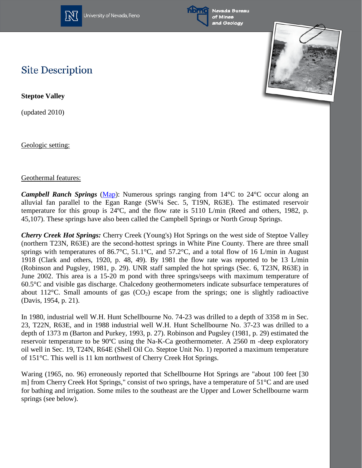

University of Nevada, Reno



Nevada Bureau of Mines and Geology



## **Site Description**

**Steptoe Valley** 

(updated 2010)

Geologic setting:

## Geothermal features:

*Campbell Ranch Springs* [\(Map\)](http://www.nbmg.unr.edu/geothermal/detailedmaps/Campbell%20Ranch%20Springs.pdf): Numerous springs ranging from 14<sup>o</sup>C to 24<sup>o</sup>C occur along an alluvial fan parallel to the Egan Range (SW¼ Sec. 5, T19N, R63E). The estimated reservoir temperature for this group is 24ºC, and the flow rate is 5110 L/min (Reed and others, 1982, p. 45,107). These springs have also been called the Campbell Springs or North Group Springs.

*Cherry Creek Hot Springs:* Cherry Creek (Young's) Hot Springs on the west side of Steptoe Valley (northern T23N, R63E) are the second-hottest springs in White Pine County. There are three small springs with temperatures of 86.7°C, 51.1°C, and 57.2°C, and a total flow of 16 L/min in August 1918 (Clark and others, 1920, p. 48, 49). By 1981 the flow rate was reported to be 13 L/min (Robinson and Pugsley, 1981, p. 29). UNR staff sampled the hot springs (Sec. 6, T23N, R63E) in June 2002. This area is a 15-20 m pond with three springs/seeps with maximum temperature of 60.5°C and visible gas discharge. Chalcedony geothermometers indicate subsurface temperatures of about 112 $^{\circ}$ C. Small amounts of gas  $(CO_2)$  escape from the springs; one is slightly radioactive (Davis, 1954, p. 21).

In 1980, industrial well W.H. Hunt Schellbourne No. 74-23 was drilled to a depth of 3358 m in Sec. 23, T22N, R63E, and in 1988 industrial well W.H. Hunt Schellbourne No. 37-23 was drilled to a depth of 1373 m (Barton and Purkey, 1993, p. 27). Robinson and Pugsley (1981, p. 29) estimated the reservoir temperature to be 90ºC using the Na-K-Ca geothermometer. A 2560 m -deep exploratory oil well in Sec. 19, T24N, R64E (Shell Oil Co. Steptoe Unit No. 1) reported a maximum temperature of 151°C. This well is 11 km northwest of Cherry Creek Hot Springs.

Waring (1965, no. 96) erroneously reported that Schellbourne Hot Springs are "about 100 feet [30 m] from Cherry Creek Hot Springs," consist of two springs, have a temperature of 51°C and are used for bathing and irrigation. Some miles to the southeast are the Upper and Lower Schellbourne warm springs (see below).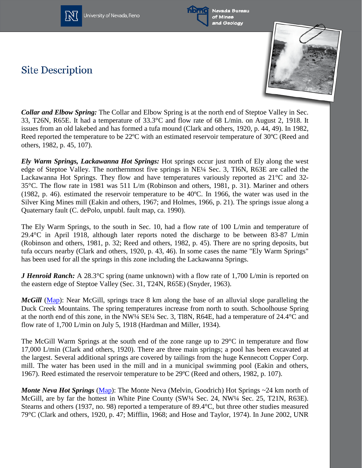

Jniversity of Nevada, Reno



Nevada Bureau of Mines and Geology

## **Site Description**



*Collar and Elbow Spring:* The Collar and Elbow Spring is at the north end of Steptoe Valley in Sec. 33, T26N, R65E. It had a temperature of 33.3°C and flow rate of 68 L/min. on August 2, 1918. It issues from an old lakebed and has formed a tufa mound (Clark and others, 1920, p. 44, 49). In 1982, Reed reported the temperature to be 22<sup>o</sup>C with an estimated reservoir temperature of 30<sup>o</sup>C (Reed and others, 1982, p. 45, 107).

*Ely Warm Springs, Lackawanna Hot Springs:* Hot springs occur just north of Ely along the west edge of Steptoe Valley. The northernmost five springs in NE¼ Sec. 3, Tl6N, R63E are called the Lackawanna Hot Springs. They flow and have temperatures variously reported as 21°C and 32- 35°C. The flow rate in 1981 was 511 L/m (Robinson and others, 1981, p. 31). Mariner and others (1982, p. 46). estimated the reservoir temperature to be 40ºC. In 1966, the water was used in the Silver King Mines mill (Eakin and others, 1967; and Holmes, 1966, p. 21). The springs issue along a Quaternary fault (C. dePolo, unpubl. fault map, ca. 1990).

The Ely Warm Springs, to the south in Sec. 10, had a flow rate of 100 L/min and temperature of 29.4°C in April 1918, although later reports noted the discharge to be between 83-87 L/min (Robinson and others, 1981, p. 32; Reed and others, 1982, p. 45). There are no spring deposits, but tufa occurs nearby (Clark and others, 1920, p. 43, 46). In some cases the name "Ely Warm Springs" has been used for all the springs in this zone including the Lackawanna Springs.

*J Henroid Ranch:* A 28.3<sup>o</sup>C spring (name unknown) with a flow rate of 1,700 L/min is reported on the eastern edge of Steptoe Valley (Sec. 31, T24N, R65E) (Snyder, 1963).

*McGill* [\(Map\)](http://www.nbmg.unr.edu/geothermal/DetailedMaps/McGill.pdf): Near McGill, springs trace 8 km along the base of an alluvial slope paralleling the Duck Creek Mountains. The spring temperatures increase from north to south. Schoolhouse Spring at the north end of this zone, in the NW¼ SE¼ Sec. 3, Tl8N, R64E, had a temperature of 24.4°C and flow rate of 1,700 L/min on July 5, 1918 (Hardman and Miller, 1934).

The McGill Warm Springs at the south end of the zone range up to 29°C in temperature and flow 17,000 L/min (Clark and others, 1920). There are three main springs; a pool has been excavated at the largest. Several additional springs are covered by tailings from the huge Kennecott Copper Corp. mill. The water has been used in the mill and in a municipal swimming pool (Eakin and others, 1967). Reed estimated the reservoir temperature to be 29ºC (Reed and others, 1982, p. 107).

*Monte Neva Hot Springs [\(Map\)](http://www.nbmg.unr.edu/geothermal/detailedmaps/Monte%20Neva%20Hot%20Springs.pdf)*: The Monte Neva (Melvin, Goodrich) Hot Springs ~24 km north of McGill, are by far the hottest in White Pine County (SW¼ Sec. 24, NW¼ Sec. 25, T21N, R63E). Stearns and others (1937, no. 98) reported a temperature of 89.4°C, but three other studies measured 79°C (Clark and others, 1920, p. 47; Mifflin, 1968; and Hose and Taylor, 1974). In June 2002, UNR